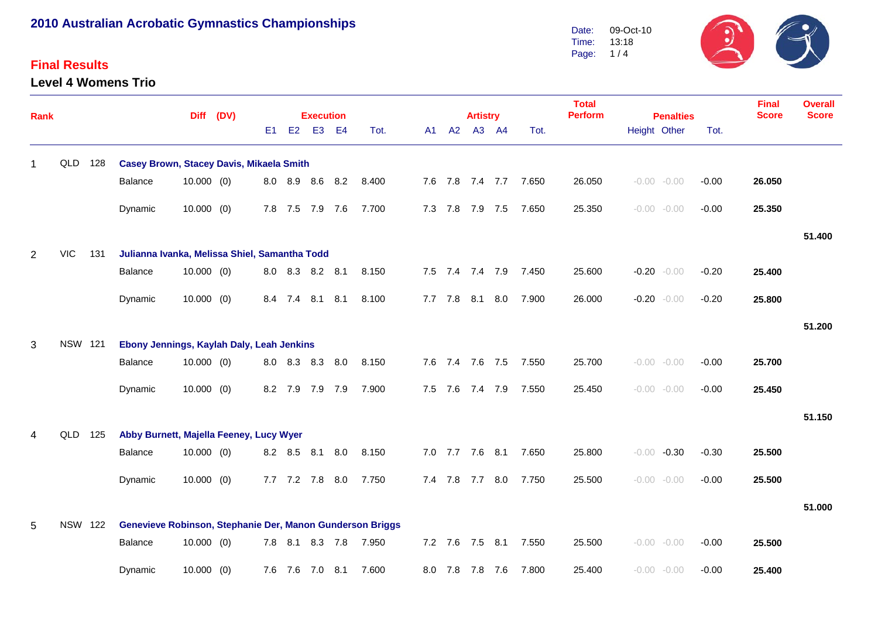#### **Final Results**

**Level 4 Womens Trio**



| <b>Rank</b> |                |     |                                                           | Diff (DV)    |  |    | <b>Execution</b> |                 |           |       |    | <b>Artistry</b> |                 |                 | <b>Total</b><br><b>Perform</b> | <b>Penalties</b> |  |                | <b>Final</b><br><b>Score</b> | <b>Overall</b><br><b>Score</b> |        |
|-------------|----------------|-----|-----------------------------------------------------------|--------------|--|----|------------------|-----------------|-----------|-------|----|-----------------|-----------------|-----------------|--------------------------------|------------------|--|----------------|------------------------------|--------------------------------|--------|
|             |                |     |                                                           |              |  | E1 | E2               | E <sub>3</sub>  | <b>E4</b> | Tot.  | A1 | A2              |                 | A3 A4           | Tot.                           |                  |  | Height Other   | Tot.                         |                                |        |
| 1           | QLD            | 128 | <b>Casey Brown, Stacey Davis, Mikaela Smith</b>           |              |  |    |                  |                 |           |       |    |                 |                 |                 |                                |                  |  |                |                              |                                |        |
|             |                |     | Balance                                                   | $10.000$ (0) |  |    |                  | 8.0 8.9 8.6 8.2 |           | 8.400 |    |                 |                 |                 | 7.6 7.8 7.4 7.7 7.650          | 26.050           |  | $-0.00 - 0.00$ | $-0.00$                      | 26.050                         |        |
|             |                |     | Dynamic                                                   | $10.000$ (0) |  |    |                  | 7.8 7.5 7.9 7.6 |           | 7.700 |    | 7.3 7.8         | 7.9 7.5         |                 | 7.650                          | 25.350           |  | $-0.00 - 0.00$ | $-0.00$                      | 25.350                         |        |
|             |                |     |                                                           |              |  |    |                  |                 |           |       |    |                 |                 |                 |                                |                  |  |                |                              |                                | 51.400 |
| 2           | <b>VIC</b>     | 131 | Julianna Ivanka, Melissa Shiel, Samantha Todd             |              |  |    |                  |                 |           |       |    |                 |                 |                 |                                |                  |  |                |                              |                                |        |
|             |                |     | Balance                                                   | $10.000$ (0) |  |    |                  | 8.0 8.3 8.2 8.1 |           | 8.150 |    |                 |                 | 7.5 7.4 7.4 7.9 | 7.450                          | 25.600           |  | $-0.20 - 0.00$ | $-0.20$                      | 25.400                         |        |
|             |                |     | Dynamic                                                   | $10.000$ (0) |  |    | 8.4 7.4          |                 | 8.1 8.1   | 8.100 |    | 7.7 7.8         | 8.1             | 8.0             | 7.900                          | 26.000           |  | $-0.20 - 0.00$ | $-0.20$                      | 25.800                         |        |
|             |                |     |                                                           |              |  |    |                  |                 |           |       |    |                 |                 |                 |                                |                  |  |                |                              |                                | 51.200 |
| 3           | <b>NSW 121</b> |     | Ebony Jennings, Kaylah Daly, Leah Jenkins                 |              |  |    |                  |                 |           |       |    |                 |                 |                 |                                |                  |  |                |                              |                                |        |
|             |                |     | Balance                                                   | $10.000$ (0) |  |    |                  | 8.0 8.3 8.3 8.0 |           | 8.150 |    |                 | 7.6 7.4 7.6 7.5 |                 | 7.550                          | 25.700           |  | $-0.00 - 0.00$ | $-0.00$                      | 25.700                         |        |
|             |                |     | Dynamic                                                   | $10.000$ (0) |  |    |                  | 8.2 7.9 7.9     | 7.9       | 7.900 |    | 7.5 7.6         | 7.4 7.9         |                 | 7.550                          | 25.450           |  | $-0.00 - 0.00$ | $-0.00$                      | 25.450                         |        |
|             |                |     |                                                           |              |  |    |                  |                 |           |       |    |                 |                 |                 |                                |                  |  |                |                              |                                | 51.150 |
| 4           | QLD            | 125 | Abby Burnett, Majella Feeney, Lucy Wyer                   |              |  |    |                  |                 |           |       |    |                 |                 |                 |                                |                  |  |                |                              |                                |        |
|             |                |     | Balance                                                   | $10.000$ (0) |  |    |                  | 8.2 8.5 8.1 8.0 |           | 8.150 |    |                 | 7.0 7.7 7.6 8.1 |                 | 7.650                          | 25.800           |  | $-0.00 -0.30$  | $-0.30$                      | 25.500                         |        |
|             |                |     | Dynamic                                                   | $10.000$ (0) |  |    |                  | 7.7 7.2 7.8     | 8.0       | 7.750 |    |                 | 7.4 7.8 7.7 8.0 |                 | 7.750                          | 25.500           |  | $-0.00 - 0.00$ | $-0.00$                      | 25.500                         |        |
|             |                |     |                                                           |              |  |    |                  |                 |           |       |    |                 |                 |                 |                                |                  |  |                |                              |                                | 51.000 |
| 5           | <b>NSW 122</b> |     | Genevieve Robinson, Stephanie Der, Manon Gunderson Briggs |              |  |    |                  |                 |           |       |    |                 |                 |                 |                                |                  |  |                |                              |                                |        |
|             |                |     | Balance                                                   | $10.000$ (0) |  |    | $7.8$ $8.1$      |                 | 8.3 7.8   | 7.950 |    |                 | 7.2 7.6 7.5 8.1 |                 | 7.550                          | 25.500           |  | $-0.00 - 0.00$ | $-0.00$                      | 25.500                         |        |
|             |                |     | Dynamic                                                   | $10.000$ (0) |  |    |                  | 7.6 7.6 7.0     | 8.1       | 7.600 |    | 8.0 7.8         | 7.8 7.6         |                 | 7.800                          | 25.400           |  | $-0.00 - 0.00$ | $-0.00$                      | 25.400                         |        |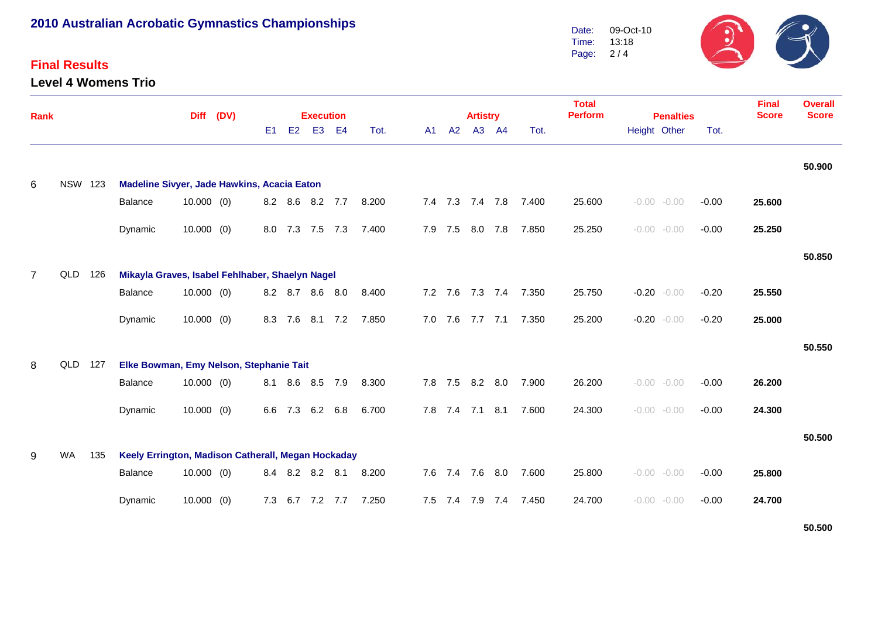### **Final Results**

**Level 4 Womens Trio**



| <b>Rank</b>    |                |     |                                                    | <b>Diff</b>  | (DV) |     |         | <b>Execution</b> |                |       | <b>Total</b><br><b>Perform</b><br><b>Artistry</b><br><b>Penalties</b> |         |                 |                |                       |        |                    |  |         |        | <b>Overall</b><br><b>Score</b> |
|----------------|----------------|-----|----------------------------------------------------|--------------|------|-----|---------|------------------|----------------|-------|-----------------------------------------------------------------------|---------|-----------------|----------------|-----------------------|--------|--------------------|--|---------|--------|--------------------------------|
|                |                |     |                                                    |              |      | E1  | E2      | E <sub>3</sub>   | E <sub>4</sub> | Tot.  | A1                                                                    | A2      |                 | A3 A4          | Tot.                  |        | Height Other       |  | Tot.    |        |                                |
| 6              | <b>NSW 123</b> |     | Madeline Sivyer, Jade Hawkins, Acacia Eaton        |              |      |     |         |                  |                |       |                                                                       |         |                 |                |                       |        |                    |  |         |        | 50.900                         |
|                |                |     | Balance                                            | $10.000$ (0) |      |     |         | 8.2 8.6 8.2 7.7  |                | 8.200 |                                                                       |         |                 |                | 7.4 7.3 7.4 7.8 7.400 | 25.600 | $-0.00 - 0.00$     |  | $-0.00$ | 25.600 |                                |
|                |                |     | Dynamic                                            | $10.000$ (0) |      |     |         | 8.0 7.3 7.5 7.3  |                | 7.400 |                                                                       | 7.9 7.5 |                 | 8.0 7.8        | 7.850                 | 25.250 | $-0.00 - 0.00$     |  | $-0.00$ | 25.250 |                                |
| $\overline{7}$ | QLD 126        |     | Mikayla Graves, Isabel Fehlhaber, Shaelyn Nagel    |              |      |     |         |                  |                |       |                                                                       |         |                 |                |                       |        |                    |  |         |        | 50.850                         |
|                |                |     | Balance                                            | $10.000$ (0) |      |     |         | 8.2 8.7 8.6 8.0  |                | 8.400 | 7.2                                                                   | 7.6     |                 |                | 7.3 7.4 7.350         | 25.750 | $-0.20$<br>$-0.00$ |  | $-0.20$ | 25.550 |                                |
|                |                |     | Dynamic                                            | $10.000$ (0) |      |     | 8.3 7.6 | 8.1 7.2          |                | 7.850 |                                                                       | 7.0 7.6 |                 | 7.7 7.1        | 7.350                 | 25.200 | $-0.20 - 0.00$     |  | $-0.20$ | 25.000 |                                |
| 8              | QLD 127        |     | Elke Bowman, Emy Nelson, Stephanie Tait            |              |      |     |         |                  |                |       |                                                                       |         |                 |                |                       |        |                    |  |         |        | 50.550                         |
|                |                |     | Balance                                            | $10.000$ (0) |      | 8.1 | 8.6     | 8.5              | 7.9            | 8.300 | 7.8                                                                   | 7.5     |                 | $8.2\quad 8.0$ | 7.900                 | 26.200 | $-0.00 - 0.00$     |  | $-0.00$ | 26.200 |                                |
|                |                |     | Dynamic                                            | $10.000$ (0) |      | 6.6 | 7.3     | 6.2 6.8          |                | 6.700 |                                                                       | 7.8 7.4 |                 | $7.1$ 8.1      | 7.600                 | 24.300 | $-0.00 - 0.00$     |  | $-0.00$ | 24.300 |                                |
| 9              | <b>WA</b>      | 135 | Keely Errington, Madison Catherall, Megan Hockaday |              |      |     |         |                  |                |       |                                                                       |         |                 |                |                       |        |                    |  |         |        | 50.500                         |
|                |                |     | Balance                                            | $10.000$ (0) |      |     | 8.4 8.2 | 8.2 8.1          |                | 8.200 |                                                                       |         | 7.6 7.4 7.6     | 8.0            | 7.600                 | 25.800 | $-0.00$<br>$-0.00$ |  | $-0.00$ | 25.800 |                                |
|                |                |     | Dynamic                                            | $10.000$ (0) |      | 7.3 |         | 6.7 7.2 7.7      |                | 7.250 |                                                                       |         | 7.5 7.4 7.9 7.4 |                | 7.450                 | 24.700 | $-0.00 - 0.00$     |  | $-0.00$ | 24.700 |                                |

**50.500**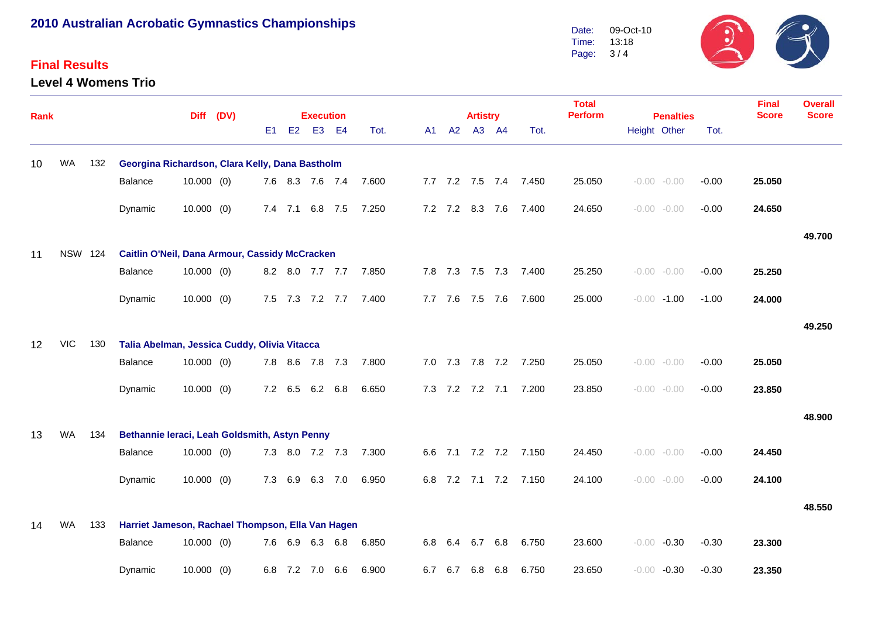#### **Final Results**

**Level 4 Womens Trio**



| <b>Rank</b> |                |     |                                                   | Diff (DV)    |  |                | <b>Execution</b> |                 |         |       |  |     |             | <b>Artistry</b> |                 |                       | <b>Total</b><br><b>Perform</b> | <b>Penalties</b> |                |         | <b>Final</b><br><b>Score</b> | <b>Overall</b><br><b>Score</b> |
|-------------|----------------|-----|---------------------------------------------------|--------------|--|----------------|------------------|-----------------|---------|-------|--|-----|-------------|-----------------|-----------------|-----------------------|--------------------------------|------------------|----------------|---------|------------------------------|--------------------------------|
|             |                |     |                                                   |              |  | E <sub>1</sub> | E2               |                 | E3 E4   | Tot.  |  | A1  | A2          |                 | A3 A4           | Tot.                  |                                |                  | Height Other   | Tot.    |                              |                                |
| 10          | <b>WA</b>      | 132 | Georgina Richardson, Clara Kelly, Dana Bastholm   |              |  |                |                  |                 |         |       |  |     |             |                 |                 |                       |                                |                  |                |         |                              |                                |
|             |                |     | Balance                                           | $10.000$ (0) |  |                |                  | 7.6 8.3 7.6 7.4 |         | 7.600 |  |     |             |                 |                 | 7.7 7.2 7.5 7.4 7.450 | 25.050                         |                  | $-0.00 - 0.00$ | $-0.00$ | 25.050                       |                                |
|             |                |     | Dynamic                                           | $10.000$ (0) |  |                |                  | 7.4 7.1 6.8 7.5 |         | 7.250 |  |     |             | 7.2 7.2 8.3 7.6 |                 | 7.400                 | 24.650                         |                  | $-0.00 - 0.00$ | $-0.00$ | 24.650                       |                                |
|             |                |     |                                                   |              |  |                |                  |                 |         |       |  |     |             |                 |                 |                       |                                |                  |                |         |                              | 49.700                         |
| 11          | <b>NSW 124</b> |     | Caitlin O'Neil, Dana Armour, Cassidy McCracken    |              |  |                |                  |                 |         |       |  |     |             |                 |                 |                       |                                |                  |                |         |                              |                                |
|             |                |     | Balance                                           | $10.000$ (0) |  |                |                  | 8.2 8.0 7.7 7.7 |         | 7.850 |  |     |             |                 | 7.8 7.3 7.5 7.3 | 7.400                 | 25.250                         |                  | $-0.00 - 0.00$ | $-0.00$ | 25.250                       |                                |
|             |                |     | Dynamic                                           | $10.000$ (0) |  |                |                  | 7.5 7.3 7.2 7.7 |         | 7.400 |  |     | $7.7$ $7.6$ | 7.5 7.6         |                 | 7.600                 | 25.000                         |                  | $-0.00 - 1.00$ | $-1.00$ | 24.000                       |                                |
|             |                |     |                                                   |              |  |                |                  |                 |         |       |  |     |             |                 |                 |                       |                                |                  |                |         |                              | 49.250                         |
| 12          | <b>VIC</b>     | 130 | Talia Abelman, Jessica Cuddy, Olivia Vitacca      |              |  |                |                  |                 |         |       |  |     |             |                 |                 |                       |                                |                  |                |         |                              |                                |
|             |                |     | Balance                                           | $10.000$ (0) |  |                |                  | 7.8 8.6 7.8 7.3 |         | 7.800 |  |     |             |                 |                 | 7.0 7.3 7.8 7.2 7.250 | 25.050                         |                  | $-0.00 - 0.00$ | $-0.00$ | 25.050                       |                                |
|             |                |     | Dynamic                                           | $10.000$ (0) |  |                |                  | 7.2 6.5 6.2 6.8 |         | 6.650 |  |     |             |                 |                 | 7.3 7.2 7.2 7.1 7.200 | 23.850                         |                  | $-0.00 - 0.00$ | $-0.00$ | 23.850                       |                                |
|             |                |     |                                                   |              |  |                |                  |                 |         |       |  |     |             |                 |                 |                       |                                |                  |                |         |                              | 48.900                         |
| 13          | WA             | 134 | Bethannie Ieraci, Leah Goldsmith, Astyn Penny     |              |  |                |                  |                 |         |       |  |     |             |                 |                 |                       |                                |                  |                |         |                              |                                |
|             |                |     | Balance                                           | $10.000$ (0) |  |                |                  | 7.3 8.0 7.2 7.3 |         | 7.300 |  |     |             |                 |                 | 6.6 7.1 7.2 7.2 7.150 | 24.450                         |                  | $-0.00 - 0.00$ | $-0.00$ | 24.450                       |                                |
|             |                |     | Dynamic                                           | $10.000$ (0) |  |                | 7.3 6.9          |                 | 6.3 7.0 | 6.950 |  |     |             |                 |                 | 6.8 7.2 7.1 7.2 7.150 | 24.100                         |                  | $-0.00 - 0.00$ | $-0.00$ | 24.100                       |                                |
|             |                |     |                                                   |              |  |                |                  |                 |         |       |  |     |             |                 |                 |                       |                                |                  |                |         |                              | 48.550                         |
| 14          | <b>WA</b>      | 133 | Harriet Jameson, Rachael Thompson, Ella Van Hagen |              |  |                |                  |                 |         |       |  |     |             |                 |                 |                       |                                |                  |                |         |                              |                                |
|             |                |     | Balance                                           | $10.000$ (0) |  |                |                  | 7.6 6.9 6.3 6.8 |         | 6.850 |  |     | 6.8 6.4     | 6.7             | 6.8             | 6.750                 | 23.600                         | $-0.00$          | $-0.30$        | $-0.30$ | 23.300                       |                                |
|             |                |     | Dynamic                                           | $10.000$ (0) |  |                |                  | 6.8 7.2 7.0     | 6.6     | 6.900 |  | 6.7 | 6.7         | 6.8             | 6.8             | 6.750                 | 23.650                         |                  | $-0.00 -0.30$  | $-0.30$ | 23.350                       |                                |